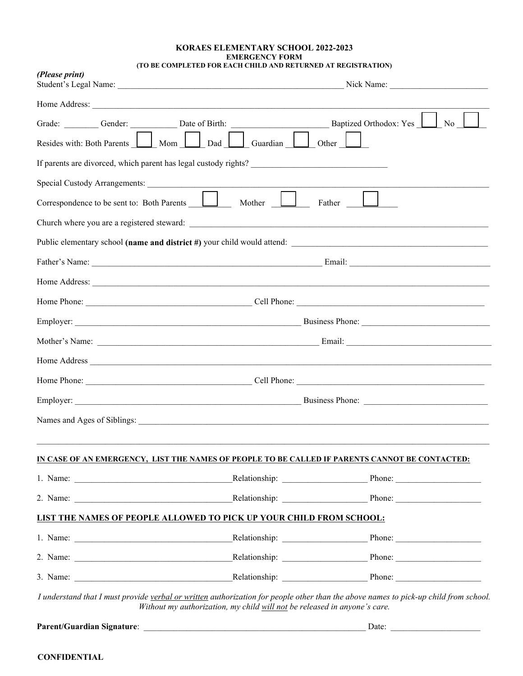## **KORAES ELEMENTARY SCHOOL 2022-2023 EMERGENCY FORM (TO BE COMPLETED FOR EACH CHILD AND RETURNED AT REGISTRATION)**

| (Please print)                             | Nick Name:                                                                                                                                                                                                                           |
|--------------------------------------------|--------------------------------------------------------------------------------------------------------------------------------------------------------------------------------------------------------------------------------------|
|                                            |                                                                                                                                                                                                                                      |
|                                            | Baptized Orthodox: Yes<br>Grade: Gender: Date of Birth:<br>No                                                                                                                                                                        |
| Resides with: Both Parents   Mom           | Dad<br>Guardian<br>Other                                                                                                                                                                                                             |
|                                            | If parents are divorced, which parent has legal custody rights?                                                                                                                                                                      |
|                                            |                                                                                                                                                                                                                                      |
| Correspondence to be sent to: Both Parents | Mother <u>L</u><br>Father                                                                                                                                                                                                            |
|                                            |                                                                                                                                                                                                                                      |
|                                            |                                                                                                                                                                                                                                      |
|                                            |                                                                                                                                                                                                                                      |
|                                            | Home Address: <u>Alexander and the set of the set of the set of the set of the set of the set of the set of the set of the set of the set of the set of the set of the set of the set of the set of the set of the set of the se</u> |
|                                            |                                                                                                                                                                                                                                      |
|                                            | Business Phone:                                                                                                                                                                                                                      |
|                                            |                                                                                                                                                                                                                                      |
|                                            |                                                                                                                                                                                                                                      |
|                                            |                                                                                                                                                                                                                                      |
|                                            | Business Phone:                                                                                                                                                                                                                      |
|                                            |                                                                                                                                                                                                                                      |
|                                            | <u>IN CASE OF AN EMERGENCY, LIST THE NAMES OF PEOPLE TO BE CALLED IF PARENTS CANNOT BE CONTACTED:</u>                                                                                                                                |
|                                            |                                                                                                                                                                                                                                      |
|                                            |                                                                                                                                                                                                                                      |
|                                            | LIST THE NAMES OF PEOPLE ALLOWED TO PICK UP YOUR CHILD FROM SCHOOL:                                                                                                                                                                  |
|                                            |                                                                                                                                                                                                                                      |
|                                            |                                                                                                                                                                                                                                      |
|                                            |                                                                                                                                                                                                                                      |

**Parent/Guardian Signature**: \_\_\_\_\_\_\_\_\_\_\_\_\_\_\_\_\_\_\_\_\_\_\_\_\_\_\_\_\_\_\_\_\_\_\_\_\_\_\_\_\_\_\_\_\_\_\_\_\_\_\_\_ Date: \_\_\_\_\_\_\_\_\_\_\_\_\_\_\_\_\_\_\_\_\_